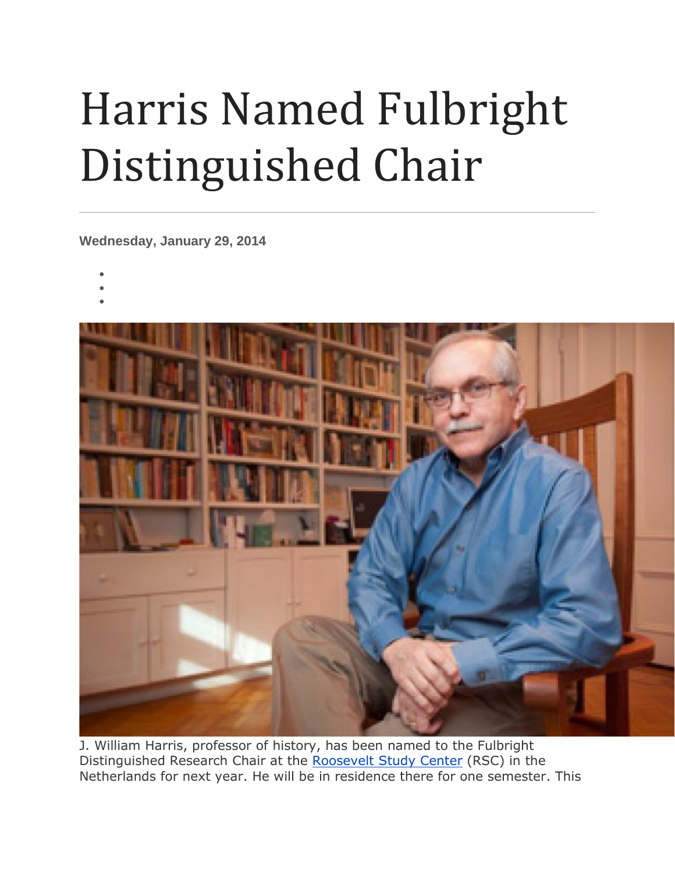## Harris Named Fulbright Distinguished Chair

**Wednesday, January 29, 2014**

- •
- •
- •



J. William Harris, professor of history, has been named to the Fulbright Distinguished Research Chair at the [Roosevelt](http://www.roosevelt.nl/home/) Study Center (RSC) in the Netherlands for next year. He will be in residence there for one semester. This